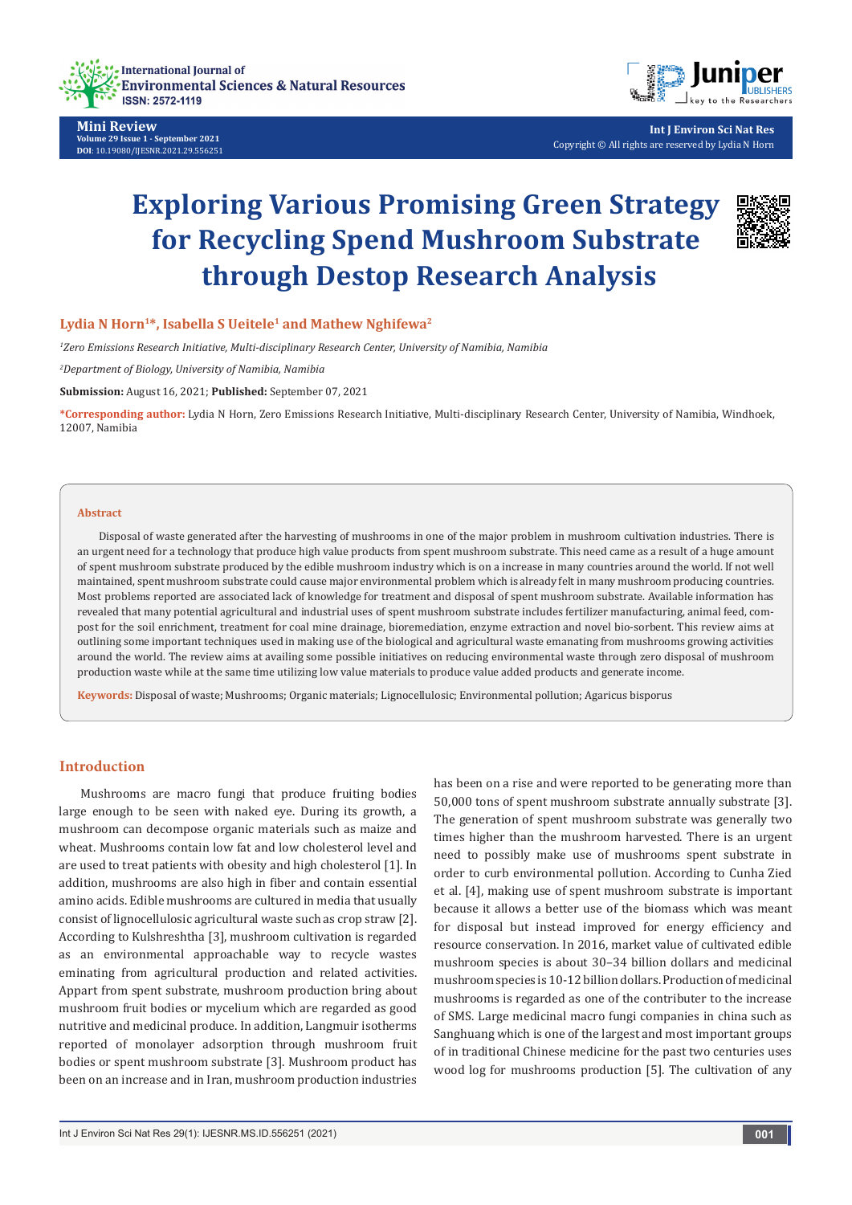

**Mini Review Volume 29 Issue 1 - September 2021 DOI**: [10.19080/IJESNR.2021.29.556](http://dx.doi.org/10.19080/IJESNR.2021.29.556251)251



**Int J Environ Sci Nat Res** Copyright © All rights are reserved by Lydia N Horn

# **Exploring Various Promising Green Strategy for Recycling Spend Mushroom Substrate through Destop Research Analysis**



## Lydia N Horn<sup>1\*</sup>, Isabella S Ueitele<sup>1</sup> and Mathew Nghifewa<sup>2</sup>

*1 Zero Emissions Research Initiative, Multi-disciplinary Research Center, University of Namibia, Namibia* 

*2 Department of Biology, University of Namibia, Namibia*

**Submission:** August 16, 2021; **Published:** September 07, 2021

**\*Corresponding author:** Lydia N Horn, Zero Emissions Research Initiative, Multi-disciplinary Research Center, University of Namibia, Windhoek, 12007, Namibia

#### **Abstract**

Disposal of waste generated after the harvesting of mushrooms in one of the major problem in mushroom cultivation industries. There is an urgent need for a technology that produce high value products from spent mushroom substrate. This need came as a result of a huge amount of spent mushroom substrate produced by the edible mushroom industry which is on a increase in many countries around the world. If not well maintained, spent mushroom substrate could cause major environmental problem which is already felt in many mushroom producing countries. Most problems reported are associated lack of knowledge for treatment and disposal of spent mushroom substrate. Available information has revealed that many potential agricultural and industrial uses of spent mushroom substrate includes fertilizer manufacturing, animal feed, compost for the soil enrichment, treatment for coal mine drainage, bioremediation, enzyme extraction and novel bio-sorbent. This review aims at outlining some important techniques used in making use of the biological and agricultural waste emanating from mushrooms growing activities around the world. The review aims at availing some possible initiatives on reducing environmental waste through zero disposal of mushroom production waste while at the same time utilizing low value materials to produce value added products and generate income.

**Keywords:** Disposal of waste; Mushrooms; Organic materials; Lignocellulosic; Environmental pollution; Agaricus bisporus

## **Introduction**

Mushrooms are macro fungi that produce fruiting bodies large enough to be seen with naked eye. During its growth, a mushroom can decompose organic materials such as maize and wheat. Mushrooms contain low fat and low cholesterol level and are used to treat patients with obesity and high cholesterol [1]. In addition, mushrooms are also high in fiber and contain essential amino acids. Edible mushrooms are cultured in media that usually consist of lignocellulosic agricultural waste such as crop straw [2]. According to Kulshreshtha [3], mushroom cultivation is regarded as an environmental approachable way to recycle wastes eminating from agricultural production and related activities. Appart from spent substrate, mushroom production bring about mushroom fruit bodies or mycelium which are regarded as good nutritive and medicinal produce. In addition, Langmuir isotherms reported of monolayer adsorption through mushroom fruit bodies or spent mushroom substrate [3]. Mushroom product has been on an increase and in Iran, mushroom production industries has been on a rise and were reported to be generating more than 50,000 tons of spent mushroom substrate annually substrate [3]. The generation of spent mushroom substrate was generally two times higher than the mushroom harvested. There is an urgent need to possibly make use of mushrooms spent substrate in order to curb environmental pollution. According to Cunha Zied et al. [4], making use of spent mushroom substrate is important because it allows a better use of the biomass which was meant for disposal but instead improved for energy efficiency and resource conservation. In 2016, market value of cultivated edible mushroom species is about 30–34 billion dollars and medicinal mushroom species is 10-12 billion dollars. Production of medicinal mushrooms is regarded as one of the contributer to the increase of SMS. Large medicinal macro fungi companies in china such as Sanghuang which is one of the largest and most important groups of in traditional Chinese medicine for the past two centuries uses wood log for mushrooms production [5]. The cultivation of any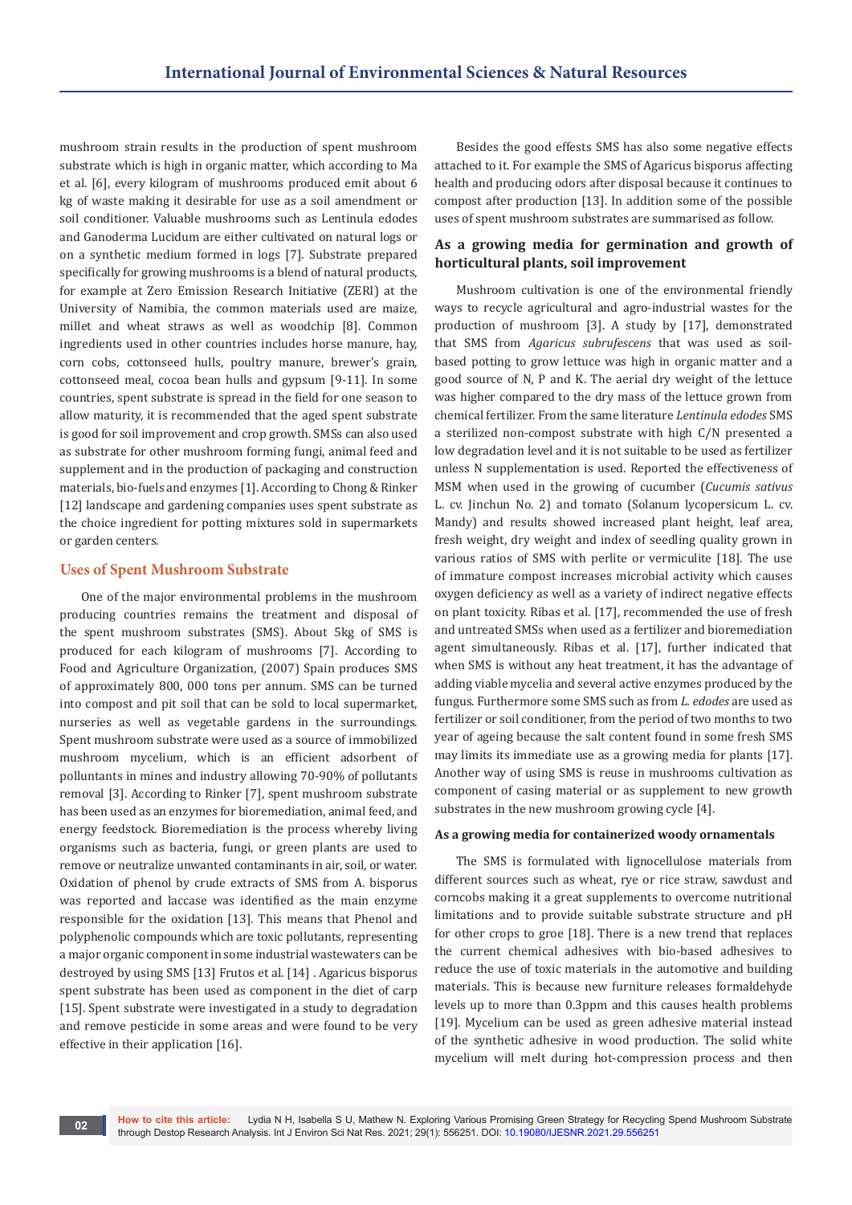mushroom strain results in the production of spent mushroom substrate which is high in organic matter, which according to Ma et al. [6], every kilogram of mushrooms produced emit about 6 kg of waste making it desirable for use as a soil amendment or soil conditioner. Valuable mushrooms such as Lentinula edodes and Ganoderma Lucidum are either cultivated on natural logs or on a synthetic medium formed in logs [7]. Substrate prepared specifically for growing mushrooms is a blend of natural products, for example at Zero Emission Research Initiative (ZERI) at the University of Namibia, the common materials used are maize, millet and wheat straws as well as woodchip [8]. Common ingredients used in other countries includes horse manure, hay, corn cobs, cottonseed hulls, poultry manure, brewer's grain, cottonseed meal, cocoa bean hulls and gypsum [9-11]. In some countries, spent substrate is spread in the field for one season to allow maturity, it is recommended that the aged spent substrate is good for soil improvement and crop growth. SMSs can also used as substrate for other mushroom forming fungi, animal feed and supplement and in the production of packaging and construction materials, bio-fuels and enzymes [1]. According to Chong & Rinker [12] landscape and gardening companies uses spent substrate as the choice ingredient for potting mixtures sold in supermarkets or garden centers.

# **Uses of Spent Mushroom Substrate**

One of the major environmental problems in the mushroom producing countries remains the treatment and disposal of the spent mushroom substrates (SMS). About 5kg of SMS is produced for each kilogram of mushrooms [7]. According to Food and Agriculture Organization, (2007) Spain produces SMS of approximately 800, 000 tons per annum. SMS can be turned into compost and pit soil that can be sold to local supermarket, nurseries as well as vegetable gardens in the surroundings. Spent mushroom substrate were used as a source of immobilized mushroom mycelium, which is an efficient adsorbent of polluntants in mines and industry allowing 70-90% of pollutants removal [3]. According to Rinker [7], spent mushroom substrate has been used as an enzymes for bioremediation, animal feed, and energy feedstock. Bioremediation is the process whereby living organisms such as bacteria, fungi, or green plants are used to remove or neutralize unwanted contaminants in air, soil, or water. Oxidation of phenol by crude extracts of SMS from A. bisporus was reported and laccase was identified as the main enzyme responsible for the oxidation [13]. This means that Phenol and polyphenolic compounds which are toxic pollutants, representing a major organic component in some industrial wastewaters can be destroyed by using SMS [13] Frutos et al. [14] . Agaricus bisporus spent substrate has been used as component in the diet of carp [15]. Spent substrate were investigated in a study to degradation and remove pesticide in some areas and were found to be very effective in their application [16].

Besides the good effests SMS has also some negative effects attached to it. For example the SMS of Agaricus bisporus affecting health and producing odors after disposal because it continues to compost after production [13]. In addition some of the possible uses of spent mushroom substrates are summarised as follow.

# **As a growing media for germination and growth of horticultural plants, soil improvement**

Mushroom cultivation is one of the environmental friendly ways to recycle agricultural and agro-industrial wastes for the production of mushroom [3]. A study by [17], demonstrated that SMS from *Agaricus subrufescens* that was used as soilbased potting to grow lettuce was high in organic matter and a good source of N, P and K. The aerial dry weight of the lettuce was higher compared to the dry mass of the lettuce grown from chemical fertilizer. From the same literature *Lentinula edodes* SMS a sterilized non-compost substrate with high C/N presented a low degradation level and it is not suitable to be used as fertilizer unless N supplementation is used. Reported the effectiveness of MSM when used in the growing of cucumber (*Cucumis sativus* L. cv. Jinchun No. 2) and tomato (Solanum lycopersicum L. cv. Mandy) and results showed increased plant height, leaf area, fresh weight, dry weight and index of seedling quality grown in various ratios of SMS with perlite or vermiculite [18]. The use of immature compost increases microbial activity which causes oxygen deficiency as well as a variety of indirect negative effects on plant toxicity. Ribas et al. [17], recommended the use of fresh and untreated SMSs when used as a fertilizer and bioremediation agent simultaneously. Ribas et al. [17], further indicated that when SMS is without any heat treatment, it has the advantage of adding viable mycelia and several active enzymes produced by the fungus. Furthermore some SMS such as from *L. edodes* are used as fertilizer or soil conditioner, from the period of two months to two year of ageing because the salt content found in some fresh SMS may limits its immediate use as a growing media for plants [17]. Another way of using SMS is reuse in mushrooms cultivation as component of casing material or as supplement to new growth substrates in the new mushroom growing cycle [4].

## **As a growing media for containerized woody ornamentals**

The SMS is formulated with lignocellulose materials from different sources such as wheat, rye or rice straw, sawdust and corncobs making it a great supplements to overcome nutritional limitations and to provide suitable substrate structure and pH for other crops to groe [18]. There is a new trend that replaces the current chemical adhesives with bio-based adhesives to reduce the use of toxic materials in the automotive and building materials. This is because new furniture releases formaldehyde levels up to more than 0.3ppm and this causes health problems [19]. Mycelium can be used as green adhesive material instead of the synthetic adhesive in wood production. The solid white mycelium will melt during hot-compression process and then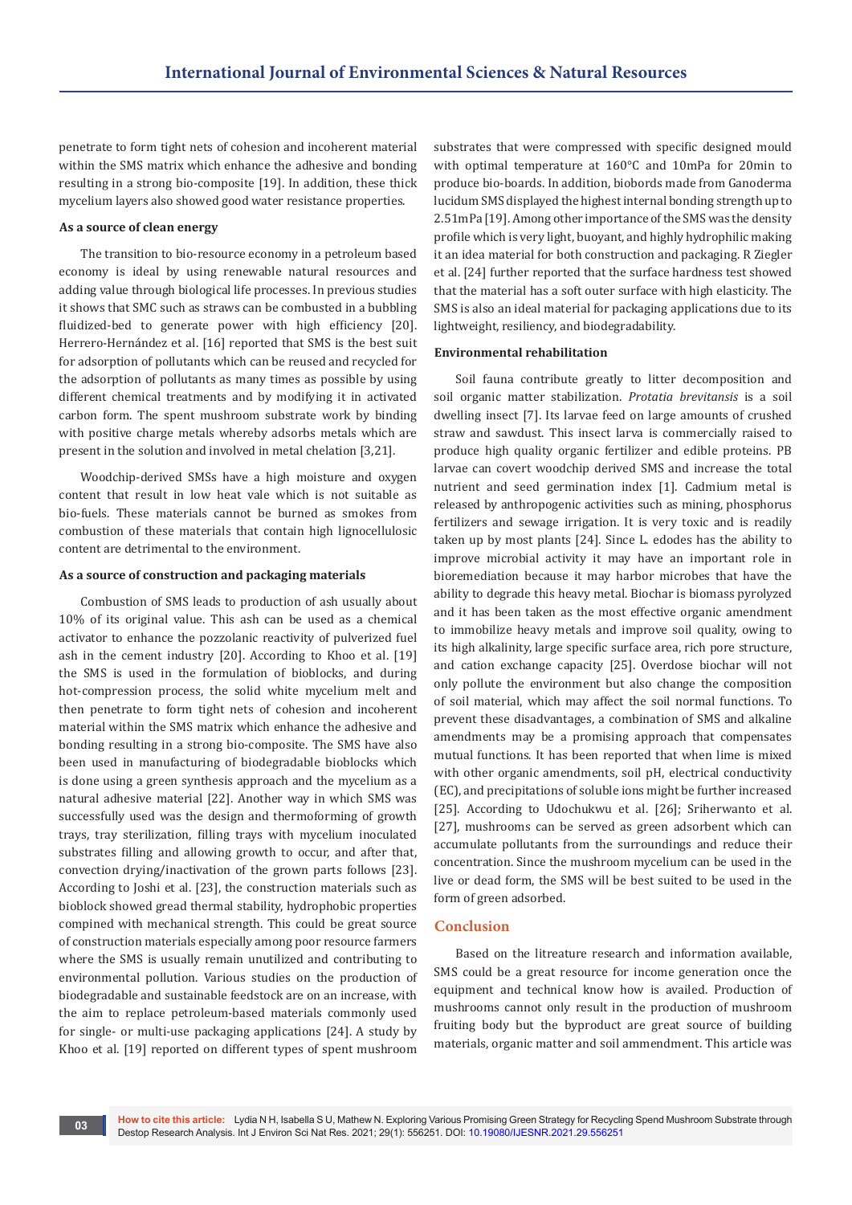penetrate to form tight nets of cohesion and incoherent material within the SMS matrix which enhance the adhesive and bonding resulting in a strong bio-composite [19]. In addition, these thick mycelium layers also showed good water resistance properties.

#### **As a source of clean energy**

The transition to bio-resource economy in a petroleum based economy is ideal by using renewable natural resources and adding value through biological life processes. In previous studies it shows that SMC such as straws can be combusted in a bubbling fluidized-bed to generate power with high efficiency [20]. Herrero-Hernández et al. [16] reported that SMS is the best suit for adsorption of pollutants which can be reused and recycled for the adsorption of pollutants as many times as possible by using different chemical treatments and by modifying it in activated carbon form. The spent mushroom substrate work by binding with positive charge metals whereby adsorbs metals which are present in the solution and involved in metal chelation [3,21].

Woodchip-derived SMSs have a high moisture and oxygen content that result in low heat vale which is not suitable as bio-fuels. These materials cannot be burned as smokes from combustion of these materials that contain high lignocellulosic content are detrimental to the environment.

#### **As a source of construction and packaging materials**

Combustion of SMS leads to production of ash usually about 10% of its original value. This ash can be used as a chemical activator to enhance the pozzolanic reactivity of pulverized fuel ash in the cement industry [20]. According to Khoo et al. [19] the SMS is used in the formulation of bioblocks, and during hot-compression process, the solid white mycelium melt and then penetrate to form tight nets of cohesion and incoherent material within the SMS matrix which enhance the adhesive and bonding resulting in a strong bio-composite. The SMS have also been used in manufacturing of biodegradable bioblocks which is done using a green synthesis approach and the mycelium as a natural adhesive material [22]. Another way in which SMS was successfully used was the design and thermoforming of growth trays, tray sterilization, filling trays with mycelium inoculated substrates filling and allowing growth to occur, and after that, convection drying/inactivation of the grown parts follows [23]. According to Joshi et al. [23], the construction materials such as bioblock showed gread thermal stability, hydrophobic properties compined with mechanical strength. This could be great source of construction materials especially among poor resource farmers where the SMS is usually remain unutilized and contributing to environmental pollution. Various studies on the production of biodegradable and sustainable feedstock are on an increase, with the aim to replace petroleum-based materials commonly used for single- or multi-use packaging applications [24]. A study by Khoo et al. [19] reported on different types of spent mushroom

substrates that were compressed with specific designed mould with optimal temperature at 160°C and 10mPa for 20min to produce bio-boards. In addition, biobords made from Ganoderma lucidum SMS displayed the highest internal bonding strength up to 2.51mPa [19]. Among other importance of the SMS was the density profile which is very light, buoyant, and highly hydrophilic making it an idea material for both construction and packaging. R Ziegler et al. [24] further reported that the surface hardness test showed that the material has a soft outer surface with high elasticity. The SMS is also an ideal material for packaging applications due to its lightweight, resiliency, and biodegradability.

## **Environmental rehabilitation**

Soil fauna contribute greatly to litter decomposition and soil organic matter stabilization. *Protatia brevitansis* is a soil dwelling insect [7]. Its larvae feed on large amounts of crushed straw and sawdust. This insect larva is commercially raised to produce high quality organic fertilizer and edible proteins. PB larvae can covert woodchip derived SMS and increase the total nutrient and seed germination index [1]. Cadmium metal is released by anthropogenic activities such as mining, phosphorus fertilizers and sewage irrigation. It is very toxic and is readily taken up by most plants [24]. Since L. edodes has the ability to improve microbial activity it may have an important role in bioremediation because it may harbor microbes that have the ability to degrade this heavy metal. Biochar is biomass pyrolyzed and it has been taken as the most effective organic amendment to immobilize heavy metals and improve soil quality, owing to its high alkalinity, large specific surface area, rich pore structure, and cation exchange capacity [25]. Overdose biochar will not only pollute the environment but also change the composition of soil material, which may affect the soil normal functions. To prevent these disadvantages, a combination of SMS and alkaline amendments may be a promising approach that compensates mutual functions. It has been reported that when lime is mixed with other organic amendments, soil pH, electrical conductivity (EC), and precipitations of soluble ions might be further increased [25]. According to Udochukwu et al. [26]; Sriherwanto et al. [27], mushrooms can be served as green adsorbent which can accumulate pollutants from the surroundings and reduce their concentration. Since the mushroom mycelium can be used in the live or dead form, the SMS will be best suited to be used in the form of green adsorbed.

#### **Conclusion**

Based on the litreature research and information available, SMS could be a great resource for income generation once the equipment and technical know how is availed. Production of mushrooms cannot only result in the production of mushroom fruiting body but the byproduct are great source of building materials, organic matter and soil ammendment. This article was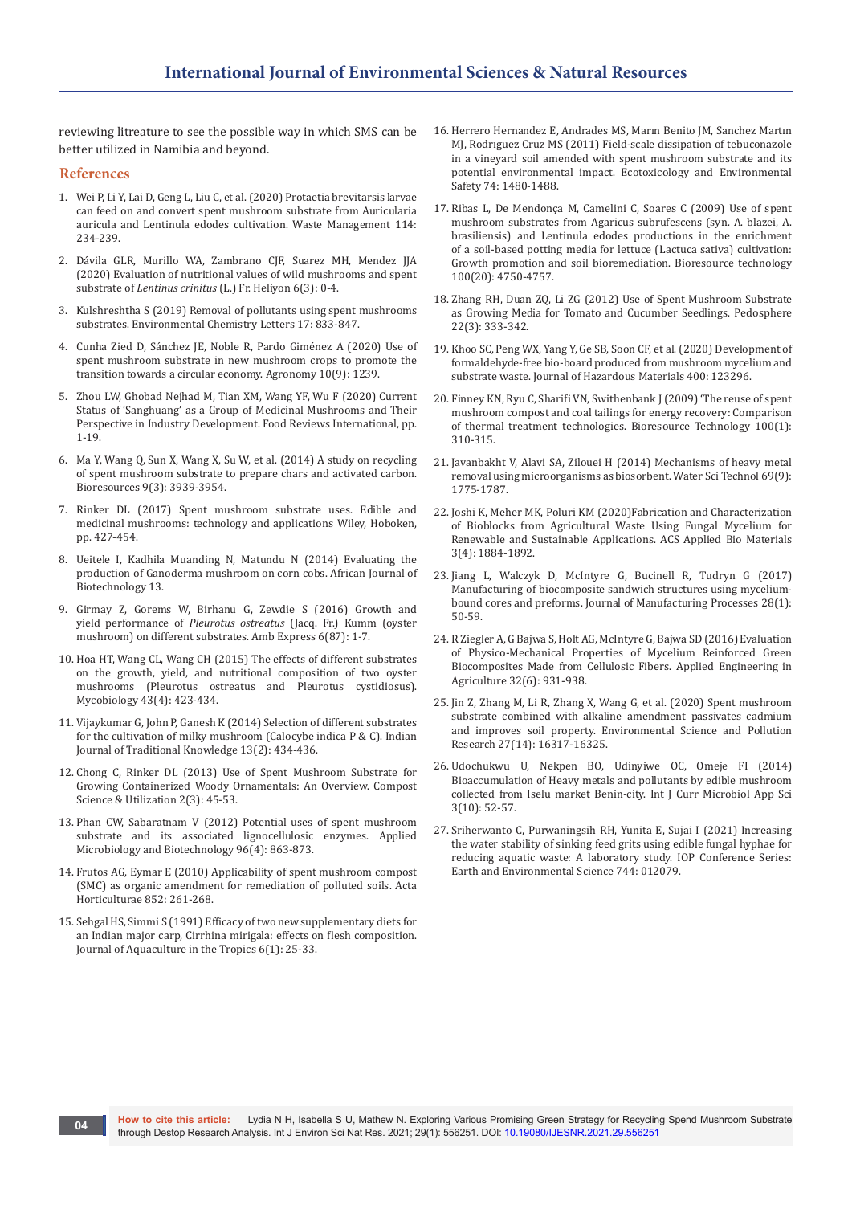reviewing litreature to see the possible way in which SMS can be better utilized in Namibia and beyond.

#### **References**

- 1. [Wei P, Li Y, Lai D, Geng L, Liu C, et al. \(2020\) Protaetia brevitarsis larvae](https://pubmed.ncbi.nlm.nih.gov/32682088/)  [can feed on and convert spent mushroom substrate from Auricularia](https://pubmed.ncbi.nlm.nih.gov/32682088/)  [auricula and Lentinula edodes cultivation. Waste Management 114:](https://pubmed.ncbi.nlm.nih.gov/32682088/)  [234-239.](https://pubmed.ncbi.nlm.nih.gov/32682088/)
- 2. [Dávila GLR, Murillo WA, Zambrano CJF, Suarez MH, Mendez JJA](https://www.sciencedirect.com/science/article/pii/S2405844020303479)  [\(2020\) Evaluation of nutritional values of wild mushrooms and spent](https://www.sciencedirect.com/science/article/pii/S2405844020303479)  substrate of *Lentinus crinitus* [\(L.\) Fr. Heliyon 6\(3\): 0-4.](https://www.sciencedirect.com/science/article/pii/S2405844020303479)
- 3. [Kulshreshtha S \(2019\) Removal of pollutants using spent mushrooms](https://link.springer.com/article/10.1007/s10311-018-00840-2)  [substrates. Environmental Chemistry Letters 17: 833-847.](https://link.springer.com/article/10.1007/s10311-018-00840-2)
- 4. [Cunha Zied D, Sánchez JE, Noble R, Pardo Giménez A \(2020\) Use of](https://www.mdpi.com/2073-4395/10/9/1239)  [spent mushroom substrate in new mushroom crops to promote the](https://www.mdpi.com/2073-4395/10/9/1239)  [transition towards a circular economy. Agronomy 10\(9\): 1239.](https://www.mdpi.com/2073-4395/10/9/1239)
- 5. [Zhou LW, Ghobad Nejhad M, Tian XM, Wang YF, Wu F \(2020\) Current](https://www.tandfonline.com/doi/abs/10.1080/87559129.2020.1740245?journalCode=lfri20)  [Status of 'Sanghuang' as a Group of Medicinal Mushrooms and Their](https://www.tandfonline.com/doi/abs/10.1080/87559129.2020.1740245?journalCode=lfri20)  [Perspective in Industry Development. Food Reviews International, pp.](https://www.tandfonline.com/doi/abs/10.1080/87559129.2020.1740245?journalCode=lfri20)  [1-19.](https://www.tandfonline.com/doi/abs/10.1080/87559129.2020.1740245?journalCode=lfri20)
- 6. [Ma Y, Wang Q, Sun X, Wang X, Su W, et al. \(2014\) A study on recycling](https://bioresources.cnr.ncsu.edu/resources/a-study-on-recycling-of-spent-mushroom-substrate-to-prepare-chars-and-activated-carbon/)  [of spent mushroom substrate to prepare chars and activated carbon.](https://bioresources.cnr.ncsu.edu/resources/a-study-on-recycling-of-spent-mushroom-substrate-to-prepare-chars-and-activated-carbon/)  [Bioresources 9\(3\): 3939-3954.](https://bioresources.cnr.ncsu.edu/resources/a-study-on-recycling-of-spent-mushroom-substrate-to-prepare-chars-and-activated-carbon/)
- 7. [Rinker DL \(2017\) Spent mushroom substrate uses. Edible and](https://onlinelibrary.wiley.com/doi/abs/10.1002/9781119149446.ch20)  [medicinal mushrooms: technology and applications Wiley, Hoboken,](https://onlinelibrary.wiley.com/doi/abs/10.1002/9781119149446.ch20)  [pp. 427-454.](https://onlinelibrary.wiley.com/doi/abs/10.1002/9781119149446.ch20)
- 8. Ueitele I, Kadhila Muanding N, Matundu N (2014) Evaluating the production of Ganoderma mushroom on corn cobs. African Journal of Biotechnology 13.
- 9. [Girmay Z, Gorems W, Birhanu G, Zewdie S \(2016\) Growth and](https://amb-express.springeropen.com/articles/10.1186/s13568-016-0265-1)  yield performance of *Pleurotus ostreatus* [\(Jacq. Fr.\) Kumm \(oyster](https://amb-express.springeropen.com/articles/10.1186/s13568-016-0265-1)  [mushroom\) on different substrates. Amb Express 6\(87\): 1-7.](https://amb-express.springeropen.com/articles/10.1186/s13568-016-0265-1)
- 10. [Hoa HT, Wang CL, Wang CH \(2015\) The effects of different substrates](https://pubmed.ncbi.nlm.nih.gov/26839502/)  [on the growth, yield, and nutritional composition of two oyster](https://pubmed.ncbi.nlm.nih.gov/26839502/)  [mushrooms \(Pleurotus ostreatus and Pleurotus cystidiosus\).](https://pubmed.ncbi.nlm.nih.gov/26839502/)  [Mycobiology 43\(4\): 423-434.](https://pubmed.ncbi.nlm.nih.gov/26839502/)
- 11. [Vijaykumar G, John P, Ganesh K \(2014\) Selection of different substrates](http://nopr.niscair.res.in/bitstream/123456789/27955/1/IJTK%2013%282%29%20434-436.pdf)  [for the cultivation of milky mushroom \(Calocybe indica P & C\). Indian](http://nopr.niscair.res.in/bitstream/123456789/27955/1/IJTK%2013%282%29%20434-436.pdf)  [Journal of Traditional Knowledge 13\(2\): 434-436.](http://nopr.niscair.res.in/bitstream/123456789/27955/1/IJTK%2013%282%29%20434-436.pdf)
- 12. [Chong C, Rinker DL \(2013\) Use of Spent Mushroom Substrate for](https://www.tandfonline.com/doi/abs/10.1080/1065657X.1994.10757933)  [Growing Containerized Woody Ornamentals: An Overview. Compost](https://www.tandfonline.com/doi/abs/10.1080/1065657X.1994.10757933)  [Science & Utilization 2\(3\): 45-53.](https://www.tandfonline.com/doi/abs/10.1080/1065657X.1994.10757933)
- 13. [Phan CW, Sabaratnam V \(2012\) Potential uses of spent mushroom](https://pubmed.ncbi.nlm.nih.gov/23053096/)  [substrate and its associated lignocellulosic enzymes. Applied](https://pubmed.ncbi.nlm.nih.gov/23053096/)  [Microbiology and Biotechnology 96\(4\): 863-873.](https://pubmed.ncbi.nlm.nih.gov/23053096/)
- 14. [Frutos AG, Eymar E \(2010\) Applicability of spent mushroom compost](https://www.actahort.org/members/showpdf?booknrarnr=852_32)  [\(SMC\) as organic amendment for remediation of polluted soils. Acta](https://www.actahort.org/members/showpdf?booknrarnr=852_32)  [Horticulturae 852: 261-268.](https://www.actahort.org/members/showpdf?booknrarnr=852_32)
- 15. Sehgal HS, Simmi S (1991) Efficacy of two new supplementary diets for an Indian major carp, Cirrhina mirigala: effects on flesh composition. Journal of Aquaculture in the Tropics 6(1): 25-33.
- 16. [Herrero Hernandez E, Andrades MS, Marın Benito JM, Sanchez Martın](https://www.sciencedirect.com/science/article/abs/pii/S0147651311001072)  [MJ, Rodrıguez Cruz MS \(2011\) Field‐scale dissipation of tebuconazole](https://www.sciencedirect.com/science/article/abs/pii/S0147651311001072)  [in a vineyard soil amended with spent mushroom substrate and its](https://www.sciencedirect.com/science/article/abs/pii/S0147651311001072)  [potential environmental impact. Ecotoxicology and Environmental](https://www.sciencedirect.com/science/article/abs/pii/S0147651311001072)  [Safety 74: 1480-1488.](https://www.sciencedirect.com/science/article/abs/pii/S0147651311001072)
- 17. [Ribas L, De Mendonça M, Camelini C, Soares C \(2009\) Use of spent](https://pubmed.ncbi.nlm.nih.gov/19467593/)  [mushroom substrates from Agaricus subrufescens \(syn. A. blazei, A.](https://pubmed.ncbi.nlm.nih.gov/19467593/)  [brasiliensis\) and Lentinula edodes productions in the enrichment](https://pubmed.ncbi.nlm.nih.gov/19467593/)  [of a soil-based potting media for lettuce \(Lactuca sativa\) cultivation:](https://pubmed.ncbi.nlm.nih.gov/19467593/)  [Growth promotion and soil bioremediation. Bioresource technology](https://pubmed.ncbi.nlm.nih.gov/19467593/)  [100\(20\): 4750-4757.](https://pubmed.ncbi.nlm.nih.gov/19467593/)
- 18. [Zhang RH, Duan ZQ, Li ZG \(2012\) Use of Spent Mushroom Substrate](https://www.sciencedirect.com/science/article/abs/pii/S1002016012600204)  [as Growing Media for Tomato and Cucumber Seedlings. Pedosphere](https://www.sciencedirect.com/science/article/abs/pii/S1002016012600204)  [22\(3\): 333-342.](https://www.sciencedirect.com/science/article/abs/pii/S1002016012600204)
- 19. [Khoo SC, Peng WX, Yang Y, Ge SB, Soon CF, et al. \(2020\) Development of](https://www.sciencedirect.com/science/article/abs/pii/S0304389420312851)  [formaldehyde-free bio-board produced from mushroom mycelium and](https://www.sciencedirect.com/science/article/abs/pii/S0304389420312851)  [substrate waste. Journal of Hazardous Materials 400: 123296.](https://www.sciencedirect.com/science/article/abs/pii/S0304389420312851)
- 20. [Finney KN, Ryu C, Sharifi VN, Swithenbank J \(2009\) 'The reuse of spent](https://pubmed.ncbi.nlm.nih.gov/18625549/)  [mushroom compost and coal tailings for energy recovery: Comparison](https://pubmed.ncbi.nlm.nih.gov/18625549/)  [of thermal treatment technologies. Bioresource Technology 100\(1\):](https://pubmed.ncbi.nlm.nih.gov/18625549/)  [310-315.](https://pubmed.ncbi.nlm.nih.gov/18625549/)
- 21. [Javanbakht V, Alavi SA, Zilouei H \(2014\) Mechanisms of heavy metal](https://pubmed.ncbi.nlm.nih.gov/24804650/)  [removal using microorganisms as biosorbent. Water Sci Technol 69\(9\):](https://pubmed.ncbi.nlm.nih.gov/24804650/)  [1775-1787.](https://pubmed.ncbi.nlm.nih.gov/24804650/)
- 22. [Joshi K, Meher MK, Poluri KM \(2020\)Fabrication and Characterization](https://pubs.acs.org/doi/10.1021/acsabm.9b01047)  [of Bioblocks from Agricultural Waste Using Fungal Mycelium for](https://pubs.acs.org/doi/10.1021/acsabm.9b01047)  [Renewable and Sustainable Applications. ACS Applied Bio Materials](https://pubs.acs.org/doi/10.1021/acsabm.9b01047)  [3\(4\): 1884-1892.](https://pubs.acs.org/doi/10.1021/acsabm.9b01047)
- 23. [Jiang L, Walczyk D, McIntyre G, Bucinell R, Tudryn G \(2017\)](https://www.sciencedirect.com/science/article/abs/pii/S1526612517301019)  [Manufacturing of biocomposite sandwich structures using mycelium](https://www.sciencedirect.com/science/article/abs/pii/S1526612517301019)[bound cores and preforms. Journal of Manufacturing Processes 28\(1\):](https://www.sciencedirect.com/science/article/abs/pii/S1526612517301019)  [50-59.](https://www.sciencedirect.com/science/article/abs/pii/S1526612517301019)
- 24. [R Ziegler A, G Bajwa S, Holt AG, McIntyre G, Bajwa SD \(2016\) Evaluation](https://elibrary.asabe.org/abstract.asp?aid=47570)  [of Physico-Mechanical Properties of Mycelium Reinforced Green](https://elibrary.asabe.org/abstract.asp?aid=47570)  [Biocomposites Made from Cellulosic Fibers. Applied Engineering in](https://elibrary.asabe.org/abstract.asp?aid=47570)  [Agriculture 32\(6\): 931-938.](https://elibrary.asabe.org/abstract.asp?aid=47570)
- 25. [Jin Z, Zhang M, Li R, Zhang X, Wang G, et al. \(2020\) Spent mushroom](https://link.springer.com/article/10.1007/s11356-020-08099-3)  [substrate combined with alkaline amendment passivates cadmium](https://link.springer.com/article/10.1007/s11356-020-08099-3)  [and improves soil property. Environmental Science and Pollution](https://link.springer.com/article/10.1007/s11356-020-08099-3)  [Research 27\(14\): 16317-16325.](https://link.springer.com/article/10.1007/s11356-020-08099-3)
- 26. [Udochukwu U, Nekpen BO, Udinyiwe OC, Omeje FI \(2014\)](https://www.ijcmas.com/vol-3-10/U.Udochukwu,%20et%20al.pdf)  [Bioaccumulation of Heavy metals and pollutants by edible mushroom](https://www.ijcmas.com/vol-3-10/U.Udochukwu,%20et%20al.pdf)  [collected from Iselu market Benin-city. Int J Curr Microbiol App Sci](https://www.ijcmas.com/vol-3-10/U.Udochukwu,%20et%20al.pdf)  [3\(10\): 52-57.](https://www.ijcmas.com/vol-3-10/U.Udochukwu,%20et%20al.pdf)
- 27. [Sriherwanto C, Purwaningsih RH, Yunita E, Sujai I \(2021\) Increasing](https://iopscience.iop.org/article/10.1088/1755-1315/744/1/012079)  [the water stability of sinking feed grits using edible fungal hyphae for](https://iopscience.iop.org/article/10.1088/1755-1315/744/1/012079)  [reducing aquatic waste: A laboratory study. IOP Conference Series:](https://iopscience.iop.org/article/10.1088/1755-1315/744/1/012079)  [Earth and Environmental Science 744: 012079.](https://iopscience.iop.org/article/10.1088/1755-1315/744/1/012079)